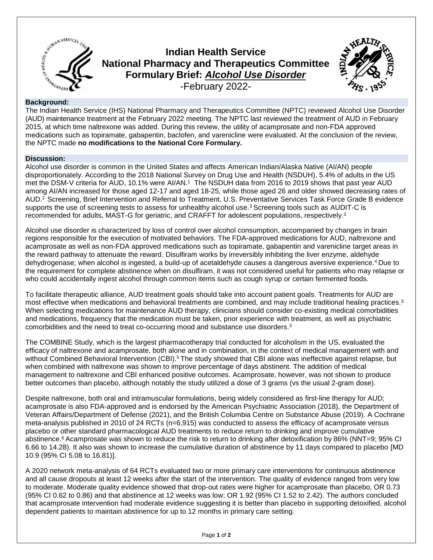

# **Indian Health Service National Pharmacy and Therapeutics Committee Formulary Brief:** *Alcohol Use Disorder* -February 2022-



### **Background:**

The Indian Health Service (IHS) National Pharmacy and Therapeutics Committee (NPTC) reviewed Alcohol Use Disorder (AUD) maintenance treatment at the February 2022 meeting. The NPTC last reviewed the treatment of AUD in February 2015, at which time naltrexone was added. During this review, the utility of acamprosate and non-FDA approved medications such as topiramate, gabapentin, baclofen, and varenicline were evaluated. At the conclusion of the review, the NPTC made **no modifications to the National Core Formulary.**

## **Discussion:**

Alcohol use disorder is common in the United States and affects American Indian/Alaska Native (AI/AN) people disproportionately. According to the 2018 National Survey on Drug Use and Health (NSDUH), 5.4% of adults in the US met the DSM-V criteria for AUD, 10.1% were AI/AN.<sup>1</sup> The NSDUH data from 2016 to 2019 shows that past year AUD among AI/AN increased for those aged 12-17 and aged 18-25, while those aged 26 and older showed decreasing rates of AUD. <sup>2</sup>Screening, Brief Intervention and Referral to Treatment, U.S. Preventative Services Task Force Grade B evidence supports the use of screening tests to assess for unhealthy alcohol use.<sup>3</sup> Screening tools such as AUDIT-C is recommended for adults, MAST-G for geriatric, and CRAFFT for adolescent populations, respectively. 3

Alcohol use disorder is characterized by loss of control over alcohol consumption, accompanied by changes in brain regions responsible for the execution of motivated behaviors. The FDA-approved medications for AUD, naltrexone and acamprosate as well as non-FDA approved medications such as topiramate, gabapentin and varenicline target areas in the reward pathway to attenuate the reward. Disulfiram works by irreversibly inhibiting the liver enzyme, aldehyde dehydrogenase; when alcohol is ingested, a build-up of acetaldehyde causes a dangerous aversive experience.<sup>4</sup> Due to the requirement for complete abstinence when on disulfiram, it was not considered useful for patients who may relapse or who could accidentally ingest alcohol through common items such as cough syrup or certain fermented foods.

To facilitate therapeutic alliance, AUD treatment goals should take into account patient goals. Treatments for AUD are most effective when medications and behavioral treatments are combined, and may include traditional healing practices.<sup>3</sup> When selecting medications for maintenance AUD therapy, clinicians should consider co-existing medical comorbidities and medications, frequency that the medication must be taken, prior experience with treatment, as well as psychiatric comorbidities and the need to treat co-occurring mood and substance use disorders.<sup>3</sup>

The COMBINE Study, which is the largest pharmacotherapy trial conducted for alcoholism in the US, evaluated the efficacy of naltrexone and acamprosate, both alone and in combination, in the context of medical management with and without Combined Behavioral Intervention (CBI).<sup>5</sup> The study showed that CBI alone was ineffective against relapse, but when combined with naltrexone was shown to improve percentage of days abstinent. The addition of medical management to naltrexone and CBI enhanced positive outcomes. Acamprosate, however, was not shown to produce better outcomes than placebo, although notably the study utilized a dose of 3 grams (vs the usual 2-gram dose).

Despite naltrexone, both oral and intramuscular formulations, being widely considered as first-line therapy for AUD; acamprosate is also FDA-approved and is endorsed by the American Psychiatric Association (2018), the Department of Veteran Affairs/Department of Defense (2021), and the British Columbia Centre on Substance Abuse (2019). A Cochrane meta-analysis published in 2010 of 24 RCTs (n=6,915) was conducted to assess the efficacy of acamprosate versus placebo or other standard pharmacological AUD treatments to reduce return to drinking and improve cumulative abstinence. <sup>6</sup> Acamprosate was shown to reduce the risk to return to drinking after detoxification by 86% (NNT=9; 95% CI 6.66 to 14.28). It also was shown to increase the cumulative duration of abstinence by 11 days compared to placebo [MD 10.9 (95% CI 5.08 to 16.81)].

A 2020 network meta-analysis of 64 RCTs evaluated two or more primary care interventions for continuous abstinence and all cause dropouts at least 12 weeks after the start of the intervention. The quality of evidence ranged from very low to moderate. Moderate quality evidence showed that drop-out rates were higher for acamprosate than placebo, OR 0.73 (95% CI 0.62 to 0.86) and that abstinence at 12 weeks was low; OR 1.92 (95% CI 1.52 to 2.42). The authors concluded that acamprosate intervention had moderate evidence suggesting it is better than placebo in supporting detoxified, alcohol dependent patients to maintain abstinence for up to 12 months in primary care setting.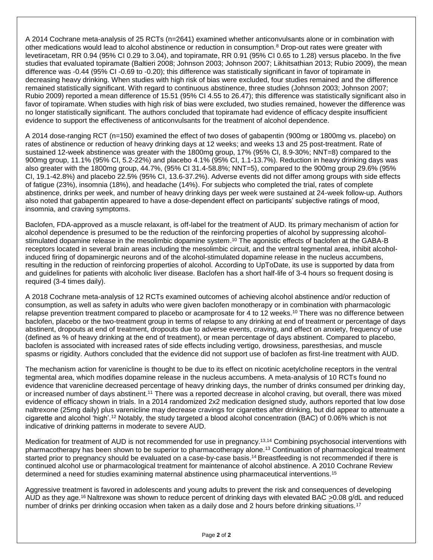A 2014 Cochrane meta-analysis of 25 RCTs (n=2641) examined whether anticonvulsants alone or in combination with other medications would lead to alcohol abstinence or reduction in consumption.<sup>8</sup> Drop-out rates were greater with levetiracetam, RR 0.94 (95% CI 0.29 to 3.04), and topiramate, RR 0.91 (95% CI 0.65 to 1.28) versus placebo. In the five studies that evaluated topiramate (Baltieri 2008; Johnson 2003; Johnson 2007; Likhitsathian 2013; Rubio 2009), the mean difference was -0.44 (95% CI -0.69 to -0.20); this difference was statistically significant in favor of topiramate in decreasing heavy drinking. When studies with high risk of bias were excluded, four studies remained and the difference remained statistically significant. With regard to continuous abstinence, three studies (Johnson 2003; Johnson 2007; Rubio 2009) reported a mean difference of 15.51 (95% CI 4.55 to 26.47); this difference was statistically significant also in favor of topiramate. When studies with high risk of bias were excluded, two studies remained, however the difference was no longer statistically significant. The authors concluded that topiramate had evidence of efficacy despite insufficient evidence to support the effectiveness of anticonvulsants for the treatment of alcohol dependence.

A 2014 dose-ranging RCT (n=150) examined the effect of two doses of gabapentin (900mg or 1800mg vs. placebo) on rates of abstinence or reduction of heavy drinking days at 12 weeks; and weeks 13 and 25 post-treatment. Rate of sustained 12-week abstinence was greater with the 1800mg group, 17% (95% CI, 8.9-30%; NNT=8) compared to the 900mg group, 11.1% (95% CI, 5.2-22%) and placebo 4.1% (95% CI, 1.1-13.7%). Reduction in heavy drinking days was also greater with the 1800mg group, 44.7%, (95% CI 31.4-58.8%; NNT=5), compared to the 900mg group 29.6% (95% CI, 19.1-42.8%) and placebo 22.5% (95% CI, 13.6-37.2%). Adverse events did not differ among groups with side effects of fatigue (23%), insomnia (18%), and headache (14%). For subjects who completed the trial, rates of complete abstinence, drinks per week, and number of heavy drinking days per week were sustained at 24-week follow-up. Authors also noted that gabapentin appeared to have a dose-dependent effect on participants' subjective ratings of mood, insomnia, and craving symptoms.

Baclofen, FDA-approved as a muscle relaxant, is off-label for the treatment of AUD. Its primary mechanism of action for alcohol dependence is presumed to be the reduction of the reinforcing properties of alcohol by suppressing alcoholstimulated dopamine release in the mesolimbic dopamine system. <sup>10</sup> The agonistic effects of baclofen at the GABA-B receptors located in several brain areas including the mesolimbic circuit, and the ventral tegmental area, inhibit alcoholinduced firing of dopaminergic neurons and of the alcohol-stimulated dopamine release in the nucleus accumbens, resulting in the reduction of reinforcing properties of alcohol. According to UpToDate, its use is supported by data from and guidelines for patients with alcoholic liver disease. Baclofen has a short half-life of 3-4 hours so frequent dosing is required (3-4 times daily).

A 2018 Cochrane meta-analysis of 12 RCTs examined outcomes of achieving alcohol abstinence and/or reduction of consumption, as well as safety in adults who were given baclofen monotherapy or in combination with pharmacologic relapse prevention treatment compared to placebo or acamprosate for 4 to 12 weeks.<sup>10</sup> There was no difference between baclofen, placebo or the two-treatment group in terms of relapse to any drinking at end of treatment or percentage of days abstinent, dropouts at end of treatment, dropouts due to adverse events, craving, and effect on anxiety, frequency of use (defined as % of heavy drinking at the end of treatment), or mean percentage of days abstinent. Compared to placebo, baclofen is associated with increased rates of side effects including vertigo, drowsiness, paresthesias, and muscle spasms or rigidity. Authors concluded that the evidence did not support use of baclofen as first-line treatment with AUD.

The mechanism action for varenicline is thought to be due to its effect on nicotinic acetylcholine receptors in the ventral tegmental area, which modifies dopamine release in the nucleus accumbens. A meta-analysis of 10 RCTs found no evidence that varenicline decreased percentage of heavy drinking days, the number of drinks consumed per drinking day, or increased number of days abstinent.<sup>11</sup> There was a reported decrease in alcohol craving, but overall, there was mixed evidence of efficacy shown in trials. In a 2014 randomized 2x2 medication designed study, authors reported that low dose naltrexone (25mg daily) plus varenicline may decrease cravings for cigarettes after drinking, but did appear to attenuate a cigarette and alcohol 'high'.<sup>12</sup> Notably, the study targeted a blood alcohol concentration (BAC) of 0.06% which is not indicative of drinking patterns in moderate to severe AUD.

Medication for treatment of AUD is not recommended for use in pregnancy.13,14 Combining psychosocial interventions with pharmacotherapy has been shown to be superior to pharmacotherapy alone.<sup>13</sup> Continuation of pharmacological treatment started prior to pregnancy should be evaluated on a case-by-case basis.<sup>14</sup> Breastfeeding is not recommended if there is continued alcohol use or pharmacological treatment for maintenance of alcohol abstinence. A 2010 Cochrane Review determined a need for studies examining maternal abstinence using pharmaceutical interventions.<sup>15</sup>

Aggressive treatment is favored in adolescents and young adults to prevent the risk and consequences of developing AUD as they age.<sup>16</sup> Naltrexone was shown to reduce percent of drinking days with elevated BAC  $\geq$ 0.08 g/dL and reduced number of drinks per drinking occasion when taken as a daily dose and 2 hours before drinking situations.<sup>17</sup>